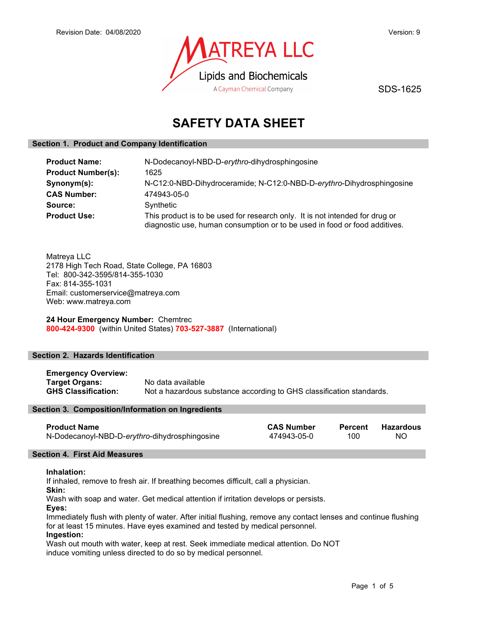

SDS-1625

# SAFETY DATA SHEET

# Section 1. Product and Company Identification

| <b>Product Name:</b>      | N-Dodecanoyl-NBD-D-erythro-dihydrosphingosine                                                                                                              |  |
|---------------------------|------------------------------------------------------------------------------------------------------------------------------------------------------------|--|
| <b>Product Number(s):</b> | 1625                                                                                                                                                       |  |
| Synonym(s):               | N-C12:0-NBD-Dihydroceramide; N-C12:0-NBD-D-erythro-Dihydrosphingosine                                                                                      |  |
| <b>CAS Number:</b>        | 474943-05-0                                                                                                                                                |  |
| Source:                   | Synthetic                                                                                                                                                  |  |
| <b>Product Use:</b>       | This product is to be used for research only. It is not intended for drug or<br>diagnostic use, human consumption or to be used in food or food additives. |  |

Matreya LLC 2178 High Tech Road, State College, PA 16803 Tel: 800-342-3595/814-355-1030 Fax: 814-355-1031 Email: customerservice@matreya.com Web: www.matreya.com

24 Hour Emergency Number: Chemtrec 800-424-9300 (within United States) 703-527-3887 (International)

# Section 2. Hazards Identification

| <b>Emergency Overview:</b> |                                                                      |
|----------------------------|----------------------------------------------------------------------|
| <b>Target Organs:</b>      | No data available                                                    |
| <b>GHS Classification:</b> | Not a hazardous substance according to GHS classification standards. |

#### Section 3. Composition/Information on Ingredients

| <b>Product Name</b>                           | <b>CAS Number</b> | Percent | Hazardous |
|-----------------------------------------------|-------------------|---------|-----------|
| N-Dodecanoyl-NBD-D-erythro-dihydrosphingosine | 474943-05-0       | 100     | -NO       |

# Section 4. First Aid Measures

#### Inhalation:

If inhaled, remove to fresh air. If breathing becomes difficult, call a physician.

Skin:

Wash with soap and water. Get medical attention if irritation develops or persists.

Eyes:

Immediately flush with plenty of water. After initial flushing, remove any contact lenses and continue flushing for at least 15 minutes. Have eyes examined and tested by medical personnel.

Ingestion:

Wash out mouth with water, keep at rest. Seek immediate medical attention. Do NOT induce vomiting unless directed to do so by medical personnel.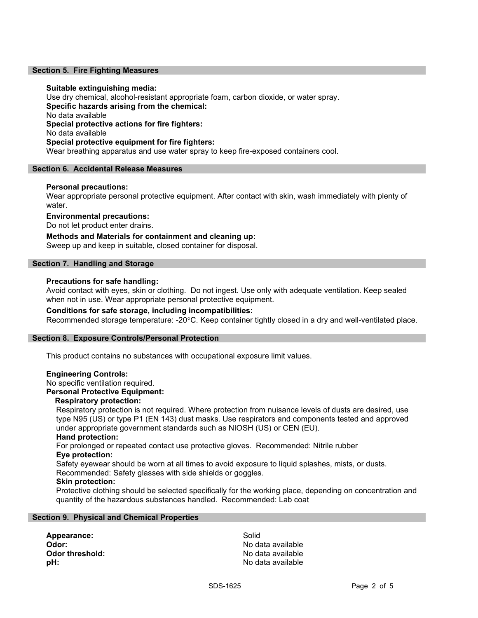#### Section 5. Fire Fighting Measures

#### Suitable extinguishing media:

Use dry chemical, alcohol-resistant appropriate foam, carbon dioxide, or water spray. Specific hazards arising from the chemical: No data available Special protective actions for fire fighters: No data available Special protective equipment for fire fighters: Wear breathing apparatus and use water spray to keep fire-exposed containers cool.

#### Section 6. Accidental Release Measures

### Personal precautions:

Wear appropriate personal protective equipment. After contact with skin, wash immediately with plenty of water.

### Environmental precautions:

Do not let product enter drains.

Methods and Materials for containment and cleaning up: Sweep up and keep in suitable, closed container for disposal.

#### Section 7. Handling and Storage

#### Precautions for safe handling:

Avoid contact with eyes, skin or clothing. Do not ingest. Use only with adequate ventilation. Keep sealed when not in use. Wear appropriate personal protective equipment.

#### Conditions for safe storage, including incompatibilities:

Recommended storage temperature: -20°C. Keep container tightly closed in a dry and well-ventilated place.

#### Section 8. Exposure Controls/Personal Protection

This product contains no substances with occupational exposure limit values.

#### Engineering Controls:

No specific ventilation required.

### Personal Protective Equipment:

### Respiratory protection:

Respiratory protection is not required. Where protection from nuisance levels of dusts are desired, use type N95 (US) or type P1 (EN 143) dust masks. Use respirators and components tested and approved under appropriate government standards such as NIOSH (US) or CEN (EU).

# Hand protection:

For prolonged or repeated contact use protective gloves. Recommended: Nitrile rubber Eye protection:

Safety eyewear should be worn at all times to avoid exposure to liquid splashes, mists, or dusts. Recommended: Safety glasses with side shields or goggles.

Skin protection:

Protective clothing should be selected specifically for the working place, depending on concentration and quantity of the hazardous substances handled. Recommended: Lab coat

#### Section 9. Physical and Chemical Properties

Appearance: Solid Odor: No data available **pH:**  $\blacksquare$ 

No data available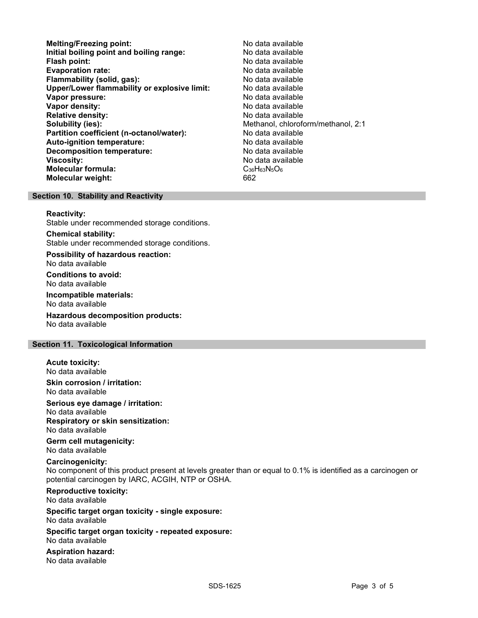- Melting/Freezing point: Melting/Freezing point: Initial boiling point and boiling range: No data available Flash point: No data available **Evaporation rate:** No data available in the set of the set of the No data available Flammability (solid, gas): No data available Upper/Lower flammability or explosive limit: No data available Vapor pressure: No data available Vapor density: No data available Relative density: No data available Solubility (ies):<br> **Solubility (ies):** Methanol, chloroform/methanol, 2:1<br>
Mo data available Partition coefficient (n-octanol/water): Auto-ignition temperature: No data available Decomposition temperature: No data available **Viscosity:** No data available Molecular formula: C36H63N5O6 Molecular weight: 662
	-

#### Section 10. Stability and Reactivity

#### Reactivity:

Stable under recommended storage conditions.

Chemical stability: Stable under recommended storage conditions.

Possibility of hazardous reaction: No data available

Conditions to avoid: No data available

Incompatible materials: No data available

Hazardous decomposition products: No data available

### Section 11. Toxicological Information

# Acute toxicity:

No data available

Skin corrosion / irritation: No data available

Serious eye damage / irritation:

No data available Respiratory or skin sensitization:

No data available

Germ cell mutagenicity: No data available

#### Carcinogenicity:

No component of this product present at levels greater than or equal to 0.1% is identified as a carcinogen or potential carcinogen by IARC, ACGIH, NTP or OSHA.

Reproductive toxicity: No data available

Specific target organ toxicity - single exposure: No data available

Specific target organ toxicity - repeated exposure: No data available

Aspiration hazard: No data available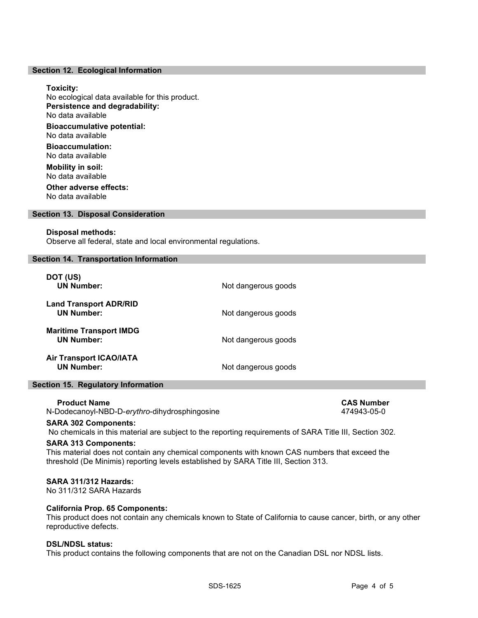#### Section 12. Ecological Information

#### Toxicity:

No ecological data available for this product. Persistence and degradability: No data available Bioaccumulative potential: No data available

Bioaccumulation: No data available

Mobility in soil: No data available Other adverse effects:

No data available

# Section 13. Disposal Consideration

#### Disposal methods:

Observe all federal, state and local environmental regulations.

#### Section 14. Transportation Information

| DOT (US)<br><b>UN Number:</b>                       | Not dangerous goods |
|-----------------------------------------------------|---------------------|
| <b>Land Transport ADR/RID</b><br><b>UN Number:</b>  | Not dangerous goods |
| <b>Maritime Transport IMDG</b><br><b>UN Number:</b> | Not dangerous goods |
| <b>Air Transport ICAO/IATA</b><br><b>UN Number:</b> | Not dangerous goods |

# Section 15. Regulatory Information

Product Name CAS Number CAS Number CAS Number

N-Dodecanoyl-NBD-D-erythro-dihydrosphingosine 474943-05-0

#### SARA 302 Components:

No chemicals in this material are subject to the reporting requirements of SARA Title III, Section 302.

#### SARA 313 Components:

This material does not contain any chemical components with known CAS numbers that exceed the threshold (De Minimis) reporting levels established by SARA Title III, Section 313.

# SARA 311/312 Hazards:

No 311/312 SARA Hazards

#### California Prop. 65 Components:

This product does not contain any chemicals known to State of California to cause cancer, birth, or any other reproductive defects.

### DSL/NDSL status:

This product contains the following components that are not on the Canadian DSL nor NDSL lists.